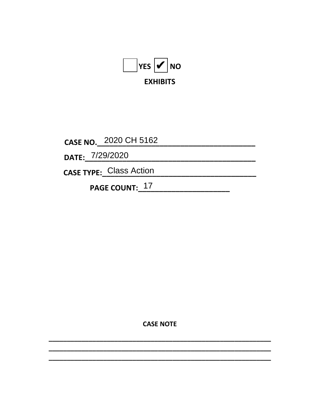

CASE NO. 2020 CH 5162

DATE: 7/29/2020

CASE TYPE: Class Action

PAGE COUNT: 17

**CASE NOTE**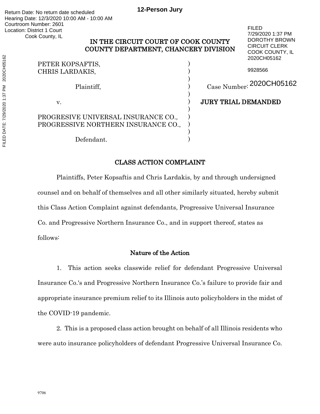# IN THE CIRCUIT COURT OF COOK COUNTY COUNTY DEPARTMENT, CHANCERY DIVISION

|                                     | 2020CH05162                |
|-------------------------------------|----------------------------|
| PETER KOPSAFTIS,<br>CHRIS LARDAKIS, | 9928566                    |
| Plaintiff,                          | Case Number: 2020CH05162   |
| V.                                  | <b>JURY TRIAL DEMANDED</b> |
| PROGRESIVE UNIVERSAL INSURANCE CO., |                            |
| PROGRESSIVE NORTHERN INSURANCE CO., |                            |
|                                     |                            |
| Defendant.                          |                            |

FILED 7/29/2020 1:37 PM DOROTHY BROWN CIRCUIT CLERK COOK COUNTY, IL 2020CH05162

# CLASS ACTION COMPLAINT

Plaintiffs, Peter Kopsaftis and Chris Lardakis, by and through undersigned counsel and on behalf of themselves and all other similarly situated, hereby submit this Class Action Complaint against defendants, Progressive Universal Insurance Co. and Progressive Northern Insurance Co., and in support thereof, states as follows:

# Nature of the Action

1. This action seeks classwide relief for defendant Progressive Universal Insurance Co.'s and Progressive Northern Insurance Co.'s failure to provide fair and appropriate insurance premium relief to its Illinois auto policyholders in the midst of the COVID-19 pandemic.

2. This is a proposed class action brought on behalf of all Illinois residents who were auto insurance policyholders of defendant Progressive Universal Insurance Co.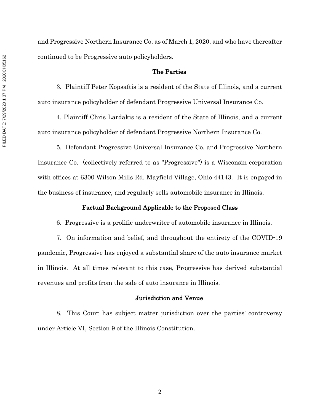and Progressive Northern Insurance Co. as of March 1, 2020, and who have thereafter continued to be Progressive auto policyholders.

### The Parties

3. Plaintiff Peter Kopsaftis is a resident of the State of Illinois, and a current auto insurance policyholder of defendant Progressive Universal Insurance Co.

4. Plaintiff Chris Lardakis is a resident of the State of Illinois, and a current auto insurance policyholder of defendant Progressive Northern Insurance Co.

5. Defendant Progressive Universal Insurance Co. and Progressive Northern Insurance Co. (collectively referred to as "Progressive") is a Wisconsin corporation with offices at 6300 Wilson Mills Rd. Mayfield Village, Ohio 44143. It is engaged in the business of insurance, and regularly sells automobile insurance in Illinois.

#### Factual Background Applicable to the Proposed Class

6. Progressive is a prolific underwriter of automobile insurance in Illinois.

7. On information and belief, and throughout the entirety of the COVID-19 pandemic, Progressive has enjoyed a substantial share of the auto insurance market in Illinois. At all times relevant to this case, Progressive has derived substantial revenues and profits from the sale of auto insurance in Illinois.

#### Jurisdiction and Venue

8. This Court has subject matter jurisdiction over the parties' controversy under Article VI, Section 9 of the Illinois Constitution.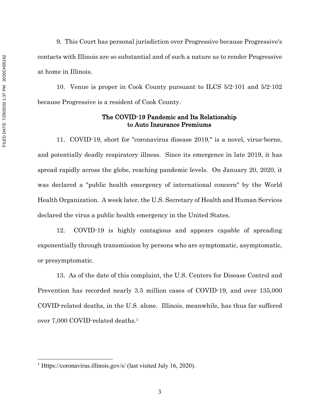9. This Court has personal jurisdiction over Progressive because Progressive's contacts with Illinois are so substantial and of such a nature as to render Progressive at home in Illinois.

10. Venue is proper in Cook County pursuant to ILCS 5/2-101 and 5/2-102 because Progressive is a resident of Cook County.

# The COVID-19 Pandemic and Its Relationship to Auto Insurance Premiums

11. COVID-19, short for "coronavirus disease 2019," is a novel, virus-borne, and potentially deadly respiratory illness. Since its emergence in late 2019, it has spread rapidly across the globe, reaching pandemic levels. On January 20, 2020, it was declared a "public health emergency of international concern" by the World Health Organization. A week later, the U.S. Secretary of Health and Human Services declared the virus a public health emergency in the United States.

12. COVID-19 is highly contagious and appears capable of spreading exponentially through transmission by persons who are symptomatic, asymptomatic, or presymptomatic.

13. As of the date of this complaint, the U.S. Centers for Disease Control and Prevention has recorded nearly 3.5 million cases of COVID-19, and over 135,000 COVID-related deaths, in the U.S. alone. Illinois, meanwhile, has thus far suffered over 7,000 COVID-related deaths.1

<sup>&</sup>lt;sup>1</sup> Https://coronavirus.illinois.gov/s/ (last visited July 16, 2020).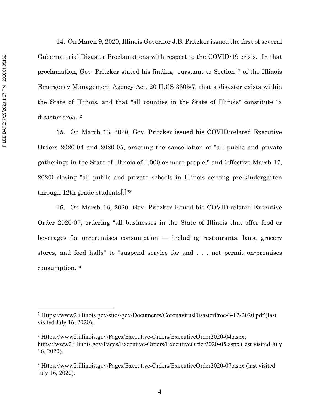FILED DATE: 7/29/2020 1:37 PM 2020CH05162 FILED DATE: 7/29/2020 1:37 PM 2020CH05162

14. On March 9, 2020, Illinois Governor J.B. Pritzker issued the first of several Gubernatorial Disaster Proclamations with respect to the COVID-19 crisis. In that proclamation, Gov. Pritzker stated his finding, pursuant to Section 7 of the Illinois Emergency Management Agency Act, 20 ILCS 3305/7, that a disaster exists within the State of Illinois, and that "all counties in the State of Illinois" constitute "a disaster area."2

15. On March 13, 2020, Gov. Pritzker issued his COVID-related Executive Orders 2020-04 and 2020-05, ordering the cancellation of "all public and private gatherings in the State of Illinois of 1,000 or more people," and (effective March 17, 2020) closing "all public and private schools in Illinois serving pre-kindergarten through 12th grade students[.]"3

16. On March 16, 2020, Gov. Pritzker issued his COVID-related Executive Order 2020-07, ordering "all businesses in the State of Illinois that offer food or beverages for on-premises consumption — including restaurants, bars, grocery stores, and food halls" to "suspend service for and . . . not permit on-premises consumption."4

<sup>&</sup>lt;sup>2</sup> Https://www2.illinois.gov/sites/gov/Documents/CoronavirusDisasterProc-3-12-2020.pdf (last visited July 16, 2020).

<sup>3</sup> Https://www2.illinois.gov/Pages/Executive-Orders/ExecutiveOrder2020-04.aspx; https://www2.illinois.gov/Pages/Executive-Orders/ExecutiveOrder2020-05.aspx (last visited July 16, 2020).

<sup>4</sup> Https://www2.illinois.gov/Pages/Executive-Orders/ExecutiveOrder2020-07.aspx (last visited July 16, 2020).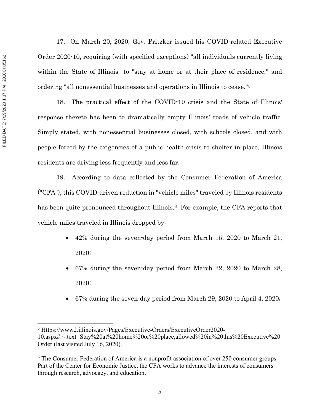FILED DATE: 7/29/2020 1:37 PM 2020CH05162 FILED DATE: 7/29/2020 1:37 PM 2020CH05162

17. On March 20, 2020, Gov. Pritzker issued his COVID-related Executive Order 2020-10, requiring (with specified exceptions) "all individuals currently living within the State of Illinois" to "stay at home or at their place of residence," and ordering "all nonessential businesses and operations in Illinois to cease."5

18. The practical effect of the COVID-19 crisis and the State of Illinois' response thereto has been to dramatically empty Illinois' roads of vehicle traffic. Simply stated, with nonessential businesses closed, with schools closed, and with people forced by the exigencies of a public health crisis to shelter in place, Illinois residents are driving less frequently and less far.

19. According to data collected by the Consumer Federation of America ("CFA"), this COVID-driven reduction in "vehicle miles" traveled by Illinois residents has been quite pronounced throughout Illinois.<sup>6</sup> For example, the CFA reports that vehicle miles traveled in Illinois dropped by:

- 42% during the seven-day period from March 15, 2020 to March 21, 2020;
- 67% during the seven-day period from March 22, 2020 to March 28, 2020;
- 67% during the seven-day period from March 29, 2020 to April 4, 2020;

<sup>5</sup> Https://www2.illinois.gov/Pages/Executive-Orders/ExecutiveOrder2020- 10.aspx#:~:text=Stay%20at%20home%20or%20place,allowed%20in%20this%20Executive%20 Order (last visited July 16, 2020).

<sup>&</sup>lt;sup>6</sup> The Consumer Federation of America is a nonprofit association of over 250 consumer groups. Part of the Center for Economic Justice, the CFA works to advance the interests of consumers through research, advocacy, and education.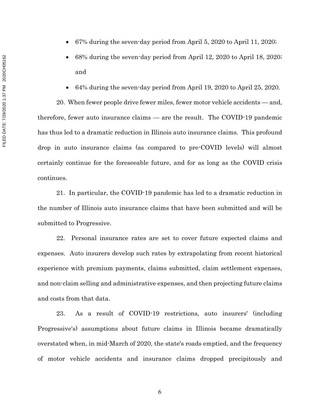- 67% during the seven-day period from April 5, 2020 to April 11, 2020;
- 68% during the seven-day period from April 12, 2020 to April 18, 2020; and
- 64% during the seven-day period from April 19, 2020 to April 25, 2020.

20. When fewer people drive fewer miles, fewer motor vehicle accidents — and, therefore, fewer auto insurance claims — are the result. The COVID-19 pandemic has thus led to a dramatic reduction in Illinois auto insurance claims. This profound drop in auto insurance claims (as compared to pre-COVID levels) will almost certainly continue for the foreseeable future, and for as long as the COVID crisis continues.

21. In particular, the COVID-19 pandemic has led to a dramatic reduction in the number of Illinois auto insurance claims that have been submitted and will be submitted to Progressive.

22. Personal insurance rates are set to cover future expected claims and expenses. Auto insurers develop such rates by extrapolating from recent historical experience with premium payments, claims submitted, claim settlement expenses, and non-claim selling and administrative expenses, and then projecting future claims and costs from that data.

23. As a result of COVID-19 restrictions, auto insurers' (including Progressive's) assumptions about future claims in Illinois became dramatically overstated when, in mid-March of 2020, the state's roads emptied, and the frequency of motor vehicle accidents and insurance claims dropped precipitously and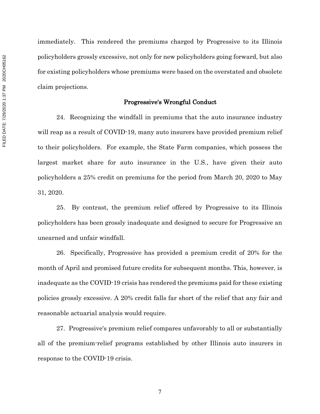immediately. This rendered the premiums charged by Progressive to its Illinois policyholders grossly excessive, not only for new policyholders going forward, but also for existing policyholders whose premiums were based on the overstated and obsolete claim projections.

#### Progressive's Wrongful Conduct

24. Recognizing the windfall in premiums that the auto insurance industry will reap as a result of COVID-19, many auto insurers have provided premium relief to their policyholders. For example, the State Farm companies, which possess the largest market share for auto insurance in the U.S., have given their auto policyholders a 25% credit on premiums for the period from March 20, 2020 to May 31, 2020.

25. By contrast, the premium relief offered by Progressive to its Illinois policyholders has been grossly inadequate and designed to secure for Progressive an unearned and unfair windfall.

26. Specifically, Progressive has provided a premium credit of 20% for the month of April and promised future credits for subsequent months. This, however, is inadequate as the COVID-19 crisis has rendered the premiums paid for these existing policies grossly excessive. A 20% credit falls far short of the relief that any fair and reasonable actuarial analysis would require.

27. Progressive's premium relief compares unfavorably to all or substantially all of the premium-relief programs established by other Illinois auto insurers in response to the COVID-19 crisis.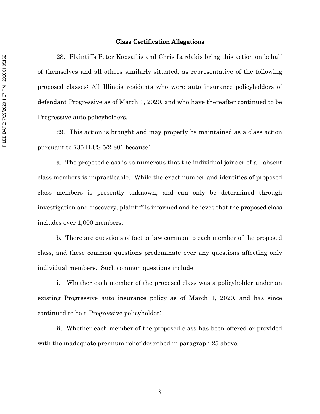#### Class Certification Allegations

28. Plaintiffs Peter Kopsaftis and Chris Lardakis bring this action on behalf of themselves and all others similarly situated, as representative of the following proposed classes: All Illinois residents who were auto insurance policyholders of defendant Progressive as of March 1, 2020, and who have thereafter continued to be Progressive auto policyholders.

29. This action is brought and may properly be maintained as a class action pursuant to 735 ILCS 5/2-801 because:

a. The proposed class is so numerous that the individual joinder of all absent class members is impracticable. While the exact number and identities of proposed class members is presently unknown, and can only be determined through investigation and discovery, plaintiff is informed and believes that the proposed class includes over 1,000 members.

b. There are questions of fact or law common to each member of the proposed class, and these common questions predominate over any questions affecting only individual members. Such common questions include:

i. Whether each member of the proposed class was a policyholder under an existing Progressive auto insurance policy as of March 1, 2020, and has since continued to be a Progressive policyholder;

ii. Whether each member of the proposed class has been offered or provided with the inadequate premium relief described in paragraph 25 above;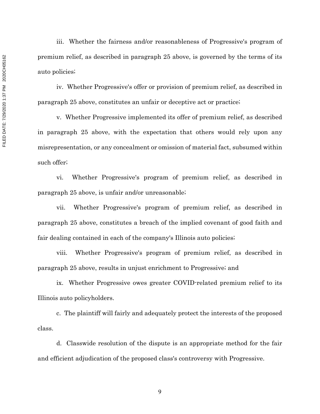iii. Whether the fairness and/or reasonableness of Progressive's program of premium relief, as described in paragraph 25 above, is governed by the terms of its auto policies;

iv. Whether Progressive's offer or provision of premium relief, as described in paragraph 25 above, constitutes an unfair or deceptive act or practice;

v. Whether Progressive implemented its offer of premium relief, as described in paragraph 25 above, with the expectation that others would rely upon any misrepresentation, or any concealment or omission of material fact, subsumed within such offer;

vi. Whether Progressive's program of premium relief, as described in paragraph 25 above, is unfair and/or unreasonable;

vii. Whether Progressive's program of premium relief, as described in paragraph 25 above, constitutes a breach of the implied covenant of good faith and fair dealing contained in each of the company's Illinois auto policies;

viii. Whether Progressive's program of premium relief, as described in paragraph 25 above, results in unjust enrichment to Progressive; and

ix. Whether Progressive owes greater COVID-related premium relief to its Illinois auto policyholders.

c. The plaintiff will fairly and adequately protect the interests of the proposed class.

d. Classwide resolution of the dispute is an appropriate method for the fair and efficient adjudication of the proposed class's controversy with Progressive.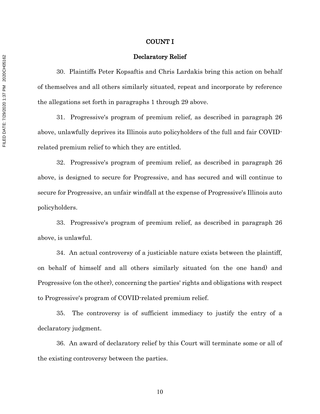#### COUNT I

#### Declaratory Relief

30. Plaintiffs Peter Kopsaftis and Chris Lardakis bring this action on behalf of themselves and all others similarly situated, repeat and incorporate by reference the allegations set forth in paragraphs 1 through 29 above.

31. Progressive's program of premium relief, as described in paragraph 26 above, unlawfully deprives its Illinois auto policyholders of the full and fair COVIDrelated premium relief to which they are entitled.

32. Progressive's program of premium relief, as described in paragraph 26 above, is designed to secure for Progressive, and has secured and will continue to secure for Progressive, an unfair windfall at the expense of Progressive's Illinois auto policyholders.

33. Progressive's program of premium relief, as described in paragraph 26 above, is unlawful.

34. An actual controversy of a justiciable nature exists between the plaintiff, on behalf of himself and all others similarly situated (on the one hand) and Progressive (on the other), concerning the parties' rights and obligations with respect to Progressive's program of COVID-related premium relief.

35. The controversy is of sufficient immediacy to justify the entry of a declaratory judgment.

36. An award of declaratory relief by this Court will terminate some or all of the existing controversy between the parties.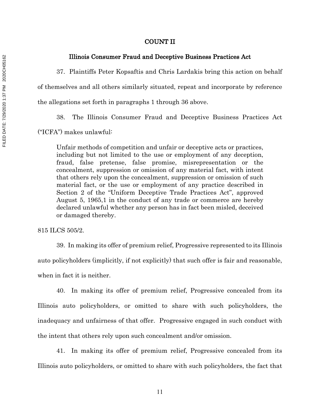#### COUNT II

#### Illinois Consumer Fraud and Deceptive Business Practices Act

37. Plaintiffs Peter Kopsaftis and Chris Lardakis bring this action on behalf

of themselves and all others similarly situated, repeat and incorporate by reference

the allegations set forth in paragraphs 1 through 36 above.

38. The Illinois Consumer Fraud and Deceptive Business Practices Act

("ICFA") makes unlawful:

Unfair methods of competition and unfair or deceptive acts or practices, including but not limited to the use or employment of any deception, fraud, false pretense, false promise, misrepresentation or the concealment, suppression or omission of any material fact, with intent that others rely upon the concealment, suppression or omission of such material fact, or the use or employment of any practice described in Section 2 of the "Uniform Deceptive Trade Practices Act", approved August 5, 1965,1 in the conduct of any trade or commerce are hereby declared unlawful whether any person has in fact been misled, deceived or damaged thereby.

815 ILCS 505/2.

39. In making its offer of premium relief, Progressive represented to its Illinois auto policyholders (implicitly, if not explicitly) that such offer is fair and reasonable, when in fact it is neither.

40. In making its offer of premium relief, Progressive concealed from its Illinois auto policyholders, or omitted to share with such policyholders, the inadequacy and unfairness of that offer. Progressive engaged in such conduct with the intent that others rely upon such concealment and/or omission.

41. In making its offer of premium relief, Progressive concealed from its Illinois auto policyholders, or omitted to share with such policyholders, the fact that

FILED DATE: 7/29/2020 1:37 PM 2020CH05162 FILED DATE: 7/29/2020 1:37 PM 2020CH05162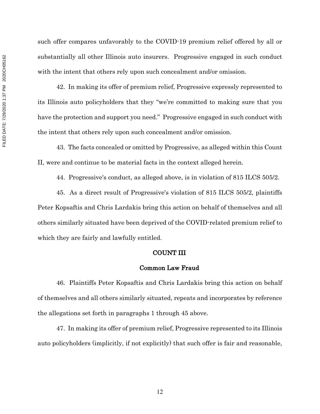such offer compares unfavorably to the COVID-19 premium relief offered by all or substantially all other Illinois auto insurers. Progressive engaged in such conduct with the intent that others rely upon such concealment and/or omission.

42. In making its offer of premium relief, Progressive expressly represented to its Illinois auto policyholders that they "we're committed to making sure that you have the protection and support you need." Progressive engaged in such conduct with the intent that others rely upon such concealment and/or omission.

43. The facts concealed or omitted by Progressive, as alleged within this Count II, were and continue to be material facts in the context alleged herein.

44. Progressive's conduct, as alleged above, is in violation of 815 ILCS 505/2.

45. As a direct result of Progressive's violation of 815 ILCS 505/2, plaintiffs Peter Kopsaftis and Chris Lardakis bring this action on behalf of themselves and all others similarly situated have been deprived of the COVID-related premium relief to which they are fairly and lawfully entitled.

### COUNT III

# Common Law Fraud

46. Plaintiffs Peter Kopsaftis and Chris Lardakis bring this action on behalf of themselves and all others similarly situated, repeats and incorporates by reference the allegations set forth in paragraphs 1 through 45 above.

47. In making its offer of premium relief, Progressive represented to its Illinois auto policyholders (implicitly, if not explicitly) that such offer is fair and reasonable,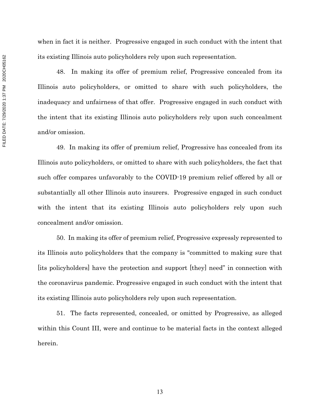when in fact it is neither. Progressive engaged in such conduct with the intent that its existing Illinois auto policyholders rely upon such representation.

48. In making its offer of premium relief, Progressive concealed from its Illinois auto policyholders, or omitted to share with such policyholders, the inadequacy and unfairness of that offer. Progressive engaged in such conduct with the intent that its existing Illinois auto policyholders rely upon such concealment and/or omission.

49. In making its offer of premium relief, Progressive has concealed from its Illinois auto policyholders, or omitted to share with such policyholders, the fact that such offer compares unfavorably to the COVID-19 premium relief offered by all or substantially all other Illinois auto insurers. Progressive engaged in such conduct with the intent that its existing Illinois auto policyholders rely upon such concealment and/or omission.

50. In making its offer of premium relief, Progressive expressly represented to its Illinois auto policyholders that the company is "committed to making sure that [its policyholders] have the protection and support [they] need" in connection with the coronavirus pandemic. Progressive engaged in such conduct with the intent that its existing Illinois auto policyholders rely upon such representation.

51. The facts represented, concealed, or omitted by Progressive, as alleged within this Count III, were and continue to be material facts in the context alleged herein.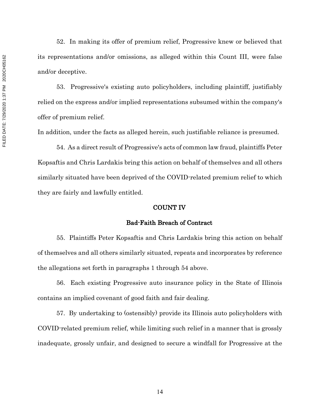52. In making its offer of premium relief, Progressive knew or believed that its representations and/or omissions, as alleged within this Count III, were false and/or deceptive.

53. Progressive's existing auto policyholders, including plaintiff, justifiably relied on the express and/or implied representations subsumed within the company's offer of premium relief.

In addition, under the facts as alleged herein, such justifiable reliance is presumed.

54. As a direct result of Progressive's acts of common law fraud, plaintiffs Peter Kopsaftis and Chris Lardakis bring this action on behalf of themselves and all others similarly situated have been deprived of the COVID-related premium relief to which they are fairly and lawfully entitled.

## COUNT IV

## Bad-Faith Breach of Contract

55. Plaintiffs Peter Kopsaftis and Chris Lardakis bring this action on behalf of themselves and all others similarly situated, repeats and incorporates by reference the allegations set forth in paragraphs 1 through 54 above.

56. Each existing Progressive auto insurance policy in the State of Illinois contains an implied covenant of good faith and fair dealing.

57. By undertaking to (ostensibly) provide its Illinois auto policyholders with COVID-related premium relief, while limiting such relief in a manner that is grossly inadequate, grossly unfair, and designed to secure a windfall for Progressive at the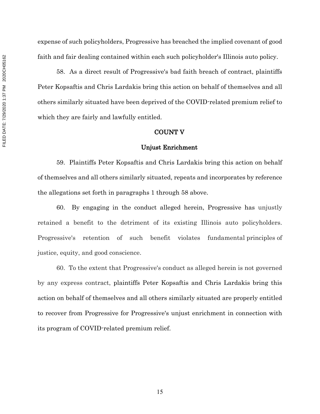expense of such policyholders, Progressive has breached the implied covenant of good faith and fair dealing contained within each such policyholder's Illinois auto policy.

58. As a direct result of Progressive's bad faith breach of contract, plaintiffs Peter Kopsaftis and Chris Lardakis bring this action on behalf of themselves and all others similarly situated have been deprived of the COVID-related premium relief to which they are fairly and lawfully entitled.

### COUNT V

#### Unjust Enrichment

59. Plaintiffs Peter Kopsaftis and Chris Lardakis bring this action on behalf of themselves and all others similarly situated, repeats and incorporates by reference the allegations set forth in paragraphs 1 through 58 above.

60. By engaging in the conduct alleged herein, Progressive has unjustly retained a benefit to the detriment of its existing Illinois auto policyholders. Progressive's retention of such benefit violates fundamental principles of justice, equity, and good conscience.

60. To the extent that Progressive's conduct as alleged herein is not governed by any express contract, plaintiffs Peter Kopsaftis and Chris Lardakis bring this action on behalf of themselves and all others similarly situated are properly entitled to recover from Progressive for Progressive's unjust enrichment in connection with its program of COVID-related premium relief.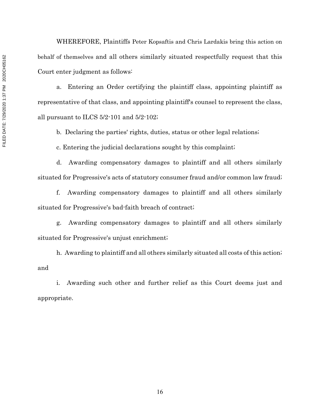WHEREFORE, Plaintiffs Peter Kopsaftis and Chris Lardakis bring this action on behalf of themselves and all others similarly situated respectfully request that this Court enter judgment as follows:

a. Entering an Order certifying the plaintiff class, appointing plaintiff as representative of that class, and appointing plaintiff's counsel to represent the class, all pursuant to ILCS 5/2-101 and 5/2-102;

b. Declaring the parties' rights, duties, status or other legal relations;

c. Entering the judicial declarations sought by this complaint;

d. Awarding compensatory damages to plaintiff and all others similarly situated for Progressive's acts of statutory consumer fraud and/or common law fraud;

f. Awarding compensatory damages to plaintiff and all others similarly situated for Progressive's bad-faith breach of contract;

g. Awarding compensatory damages to plaintiff and all others similarly situated for Progressive's unjust enrichment;

h. Awarding to plaintiff and all others similarly situated all costs of this action; and

i. Awarding such other and further relief as this Court deems just and appropriate.